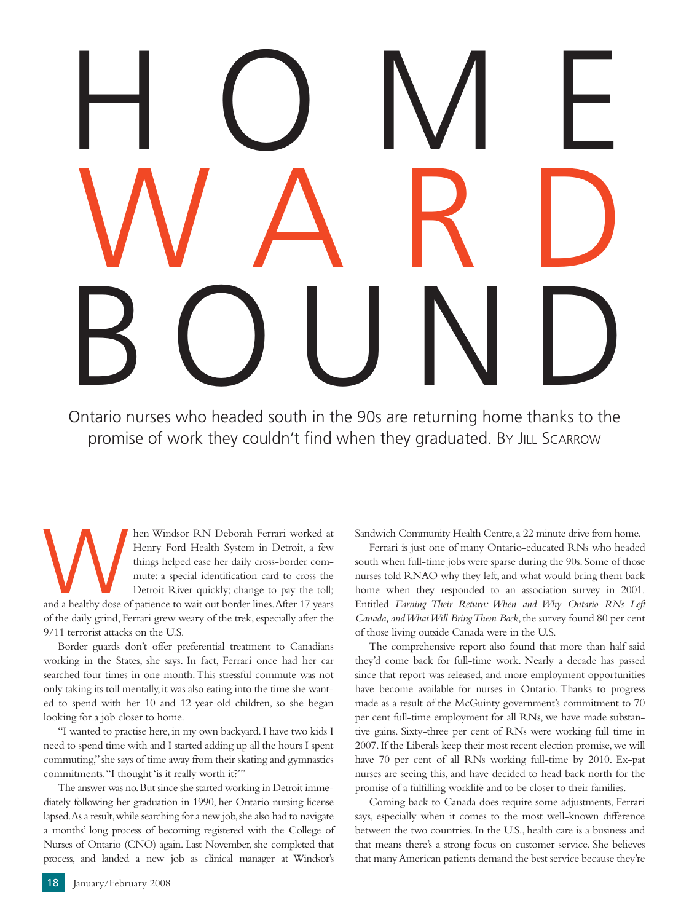## HOME WARD BOUND

Ontario nurses who headed south in the 90s are returning home thanks to the promise of work they couldn't find when they graduated. BY JILL SCARROW

Manusday Henry Ford Health System in Detroit, a few things helped ease her daily cross-border commute: a special identification card to cross the Detroit River quickly; change to pay the toll; and a healthy dose of patienc Henry Ford Health System in Detroit, a few things helped ease her daily cross-border commute: a special identification card to cross the Detroit River quickly; change to pay the toll; of the daily grind, Ferrari grew weary of the trek, especially after the 9/11 terrorist attacks on the U.S.

Border guards don't offer preferential treatment to Canadians working in the States, she says. In fact, Ferrari once had her car searched four times in one month.This stressful commute was not only taking its toll mentally,it was also eating into the time she wanted to spend with her 10 and 12-year-old children, so she began looking for a job closer to home.

"I wanted to practise here,in my own backyard.I have two kids I need to spend time with and I started adding up all the hours I spent commuting,"she says of time away from their skating and gymnastics commitments."I thought 'is it really worth it?'"

The answer was no.But since she started working in Detroit immediately following her graduation in 1990, her Ontario nursing license lapsed.As a result,while searching for a new job,she also had to navigate a months' long process of becoming registered with the College of Nurses of Ontario (CNO) again. Last November, she completed that process, and landed a new job as clinical manager at Windsor's

Sandwich Community Health Centre, a 22 minute drive from home.

Ferrari is just one of many Ontario-educated RNs who headed south when full-time jobs were sparse during the 90s. Some of those nurses told RNAO why they left, and what would bring them back home when they responded to an association survey in 2001. Entitled *Earning Their Return: When and Why Ontario RNs Left* Canada, and What Will Bring Them Back, the survey found 80 per cent of those living outside Canada were in the U.S.

The comprehensive report also found that more than half said they'd come back for full-time work. Nearly a decade has passed since that report was released, and more employment opportunities have become available for nurses in Ontario. Thanks to progress made as a result of the McGuinty government's commitment to 70 per cent full-time employment for all RNs, we have made substantive gains. Sixty-three per cent of RNs were working full time in 2007. If the Liberals keep their most recent election promise, we will have 70 per cent of all RNs working full-time by 2010. Ex-pat nurses are seeing this, and have decided to head back north for the promise of a fulfilling worklife and to be closer to their families.

Coming back to Canada does require some adjustments, Ferrari says, especially when it comes to the most well-known difference between the two countries. In the U.S., health care is a business and that means there's a strong focus on customer service. She believes that many American patients demand the best service because they're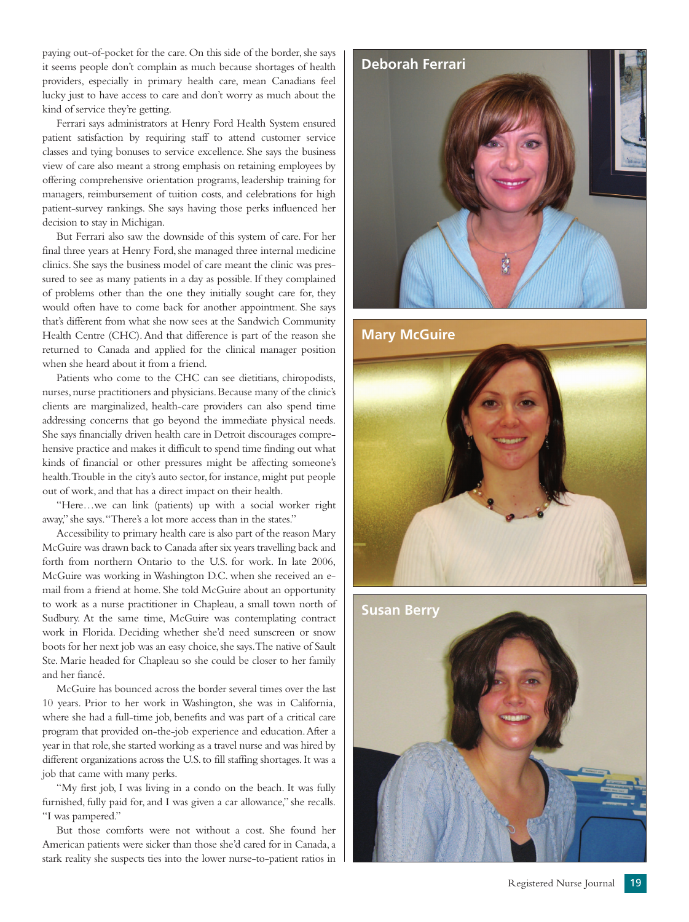paying out-of-pocket for the care. On this side of the border, she says it seems people don't complain as much because shortages of health providers, especially in primary health care, mean Canadians feel lucky just to have access to care and don't worry as much about the kind of service they're getting.

Ferrari says administrators at Henry Ford Health System ensured patient satisfaction by requiring staff to attend customer service classes and tying bonuses to service excellence. She says the business view of care also meant a strong emphasis on retaining employees by offering comprehensive orientation programs, leadership training for managers, reimbursement of tuition costs, and celebrations for high patient-survey rankings. She says having those perks influenced her decision to stay in Michigan.

But Ferrari also saw the downside of this system of care. For her final three years at Henry Ford, she managed three internal medicine clinics. She says the business model of care meant the clinic was pressured to see as many patients in a day as possible. If they complained of problems other than the one they initially sought care for, they would often have to come back for another appointment. She says that's different from what she now sees at the Sandwich Community Health Centre (CHC). And that difference is part of the reason she returned to Canada and applied for the clinical manager position when she heard about it from a friend.

Patients who come to the CHC can see dietitians, chiropodists, nurses, nurse practitioners and physicians. Because many of the clinic's clients are marginalized, health-care providers can also spend time addressing concerns that go beyond the immediate physical needs. She says financially driven health care in Detroit discourages comprehensive practice and makes it difficult to spend time finding out what kinds of financial or other pressures might be affecting someone's health.Trouble in the city's auto sector, for instance, might put people out of work, and that has a direct impact on their health.

"Here…we can link (patients) up with a social worker right away," she says."There's a lot more access than in the states."

Accessibility to primary health care is also part of the reason Mary McGuire was drawn back to Canada after six years travelling back and forth from northern Ontario to the U.S. for work. In late 2006, McGuire was working in Washington D.C. when she received an email from a friend at home. She told McGuire about an opportunity to work as a nurse practitioner in Chapleau, a small town north of Sudbury. At the same time, McGuire was contemplating contract work in Florida. Deciding whether she'd need sunscreen or snow boots for her next job was an easy choice, she says. The native of Sault Ste. Marie headed for Chapleau so she could be closer to her family and her fiancé.

McGuire has bounced across the border several times over the last 10 years. Prior to her work in Washington, she was in California, where she had a full-time job, benefits and was part of a critical care program that provided on-the-job experience and education.After a year in that role, she started working as a travel nurse and was hired by different organizations across the U.S. to fill staffing shortages. It was a job that came with many perks.

"My first job, I was living in a condo on the beach. It was fully furnished, fully paid for, and I was given a car allowance," she recalls. "I was pampered."

But those comforts were not without a cost. She found her American patients were sicker than those she'd cared for in Canada, a stark reality she suspects ties into the lower nurse-to-patient ratios in



**Mary McGuire**